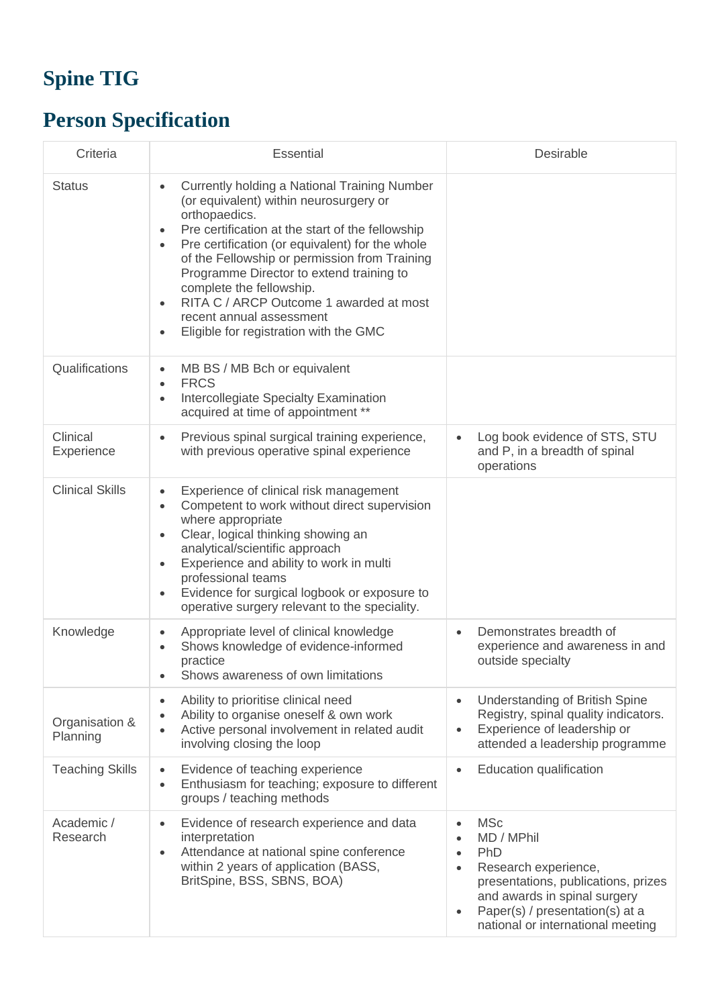## **Spine TIG**

## **Person Specification**

| Criteria                   | <b>Essential</b>                                                                                                                                                                                                                                                                                                                                                                                                                                                                        | Desirable                                                                                                                                                                                                                                     |
|----------------------------|-----------------------------------------------------------------------------------------------------------------------------------------------------------------------------------------------------------------------------------------------------------------------------------------------------------------------------------------------------------------------------------------------------------------------------------------------------------------------------------------|-----------------------------------------------------------------------------------------------------------------------------------------------------------------------------------------------------------------------------------------------|
| <b>Status</b>              | Currently holding a National Training Number<br>$\bullet$<br>(or equivalent) within neurosurgery or<br>orthopaedics.<br>Pre certification at the start of the fellowship<br>٠<br>Pre certification (or equivalent) for the whole<br>of the Fellowship or permission from Training<br>Programme Director to extend training to<br>complete the fellowship.<br>RITA C / ARCP Outcome 1 awarded at most<br>recent annual assessment<br>Eligible for registration with the GMC<br>$\bullet$ |                                                                                                                                                                                                                                               |
| Qualifications             | MB BS / MB Bch or equivalent<br>٠<br><b>FRCS</b><br>$\bullet$<br>Intercollegiate Specialty Examination<br>$\bullet$<br>acquired at time of appointment **                                                                                                                                                                                                                                                                                                                               |                                                                                                                                                                                                                                               |
| Clinical<br>Experience     | Previous spinal surgical training experience,<br>with previous operative spinal experience                                                                                                                                                                                                                                                                                                                                                                                              | Log book evidence of STS, STU<br>and P, in a breadth of spinal<br>operations                                                                                                                                                                  |
| <b>Clinical Skills</b>     | Experience of clinical risk management<br>$\bullet$<br>Competent to work without direct supervision<br>$\bullet$<br>where appropriate<br>Clear, logical thinking showing an<br>$\bullet$<br>analytical/scientific approach<br>Experience and ability to work in multi<br>$\bullet$<br>professional teams<br>Evidence for surgical logbook or exposure to<br>٠<br>operative surgery relevant to the speciality.                                                                          |                                                                                                                                                                                                                                               |
| Knowledge                  | Appropriate level of clinical knowledge<br>Shows knowledge of evidence-informed<br>practice<br>Shows awareness of own limitations                                                                                                                                                                                                                                                                                                                                                       | Demonstrates breadth of<br>experience and awareness in and<br>outside specialty                                                                                                                                                               |
| Organisation &<br>Planning | Ability to prioritise clinical need<br>$\bullet$<br>Ability to organise oneself & own work<br>$\bullet$<br>Active personal involvement in related audit<br>$\bullet$<br>involving closing the loop                                                                                                                                                                                                                                                                                      | Understanding of British Spine<br>Registry, spinal quality indicators.<br>Experience of leadership or<br>$\bullet$<br>attended a leadership programme                                                                                         |
| <b>Teaching Skills</b>     | Evidence of teaching experience<br>$\bullet$<br>Enthusiasm for teaching; exposure to different<br>$\bullet$<br>groups / teaching methods                                                                                                                                                                                                                                                                                                                                                | Education qualification<br>$\bullet$                                                                                                                                                                                                          |
| Academic /<br>Research     | Evidence of research experience and data<br>$\bullet$<br>interpretation<br>Attendance at national spine conference<br>$\bullet$<br>within 2 years of application (BASS,<br>BritSpine, BSS, SBNS, BOA)                                                                                                                                                                                                                                                                                   | <b>MSc</b><br>$\bullet$<br>MD / MPhil<br>PhD<br>$\bullet$<br>Research experience,<br>$\bullet$<br>presentations, publications, prizes<br>and awards in spinal surgery<br>Paper(s) / presentation(s) at a<br>national or international meeting |